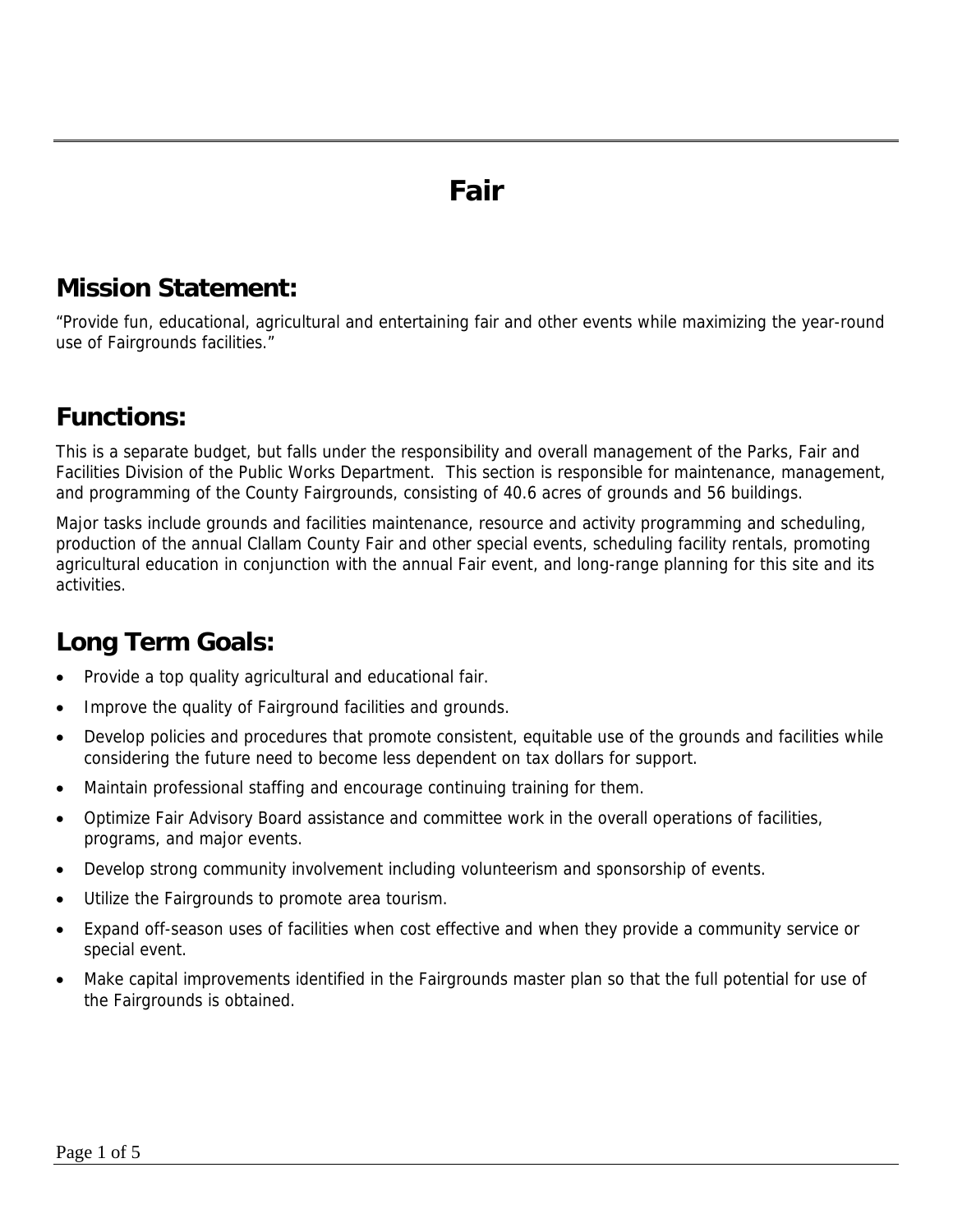### **Fair**

### **Mission Statement:**

"Provide fun, educational, agricultural and entertaining fair and other events while maximizing the year-round use of Fairgrounds facilities."

### **Functions:**

This is a separate budget, but falls under the responsibility and overall management of the Parks, Fair and Facilities Division of the Public Works Department. This section is responsible for maintenance, management, and programming of the County Fairgrounds, consisting of 40.6 acres of grounds and 56 buildings.

Major tasks include grounds and facilities maintenance, resource and activity programming and scheduling, production of the annual Clallam County Fair and other special events, scheduling facility rentals, promoting agricultural education in conjunction with the annual Fair event, and long-range planning for this site and its activities.

### **Long Term Goals:**

- Provide a top quality agricultural and educational fair.
- Improve the quality of Fairground facilities and grounds.
- Develop policies and procedures that promote consistent, equitable use of the grounds and facilities while considering the future need to become less dependent on tax dollars for support.
- Maintain professional staffing and encourage continuing training for them.
- Optimize Fair Advisory Board assistance and committee work in the overall operations of facilities, programs, and major events.
- Develop strong community involvement including volunteerism and sponsorship of events.
- Utilize the Fairgrounds to promote area tourism.
- Expand off-season uses of facilities when cost effective and when they provide a community service or special event.
- Make capital improvements identified in the Fairgrounds master plan so that the full potential for use of the Fairgrounds is obtained.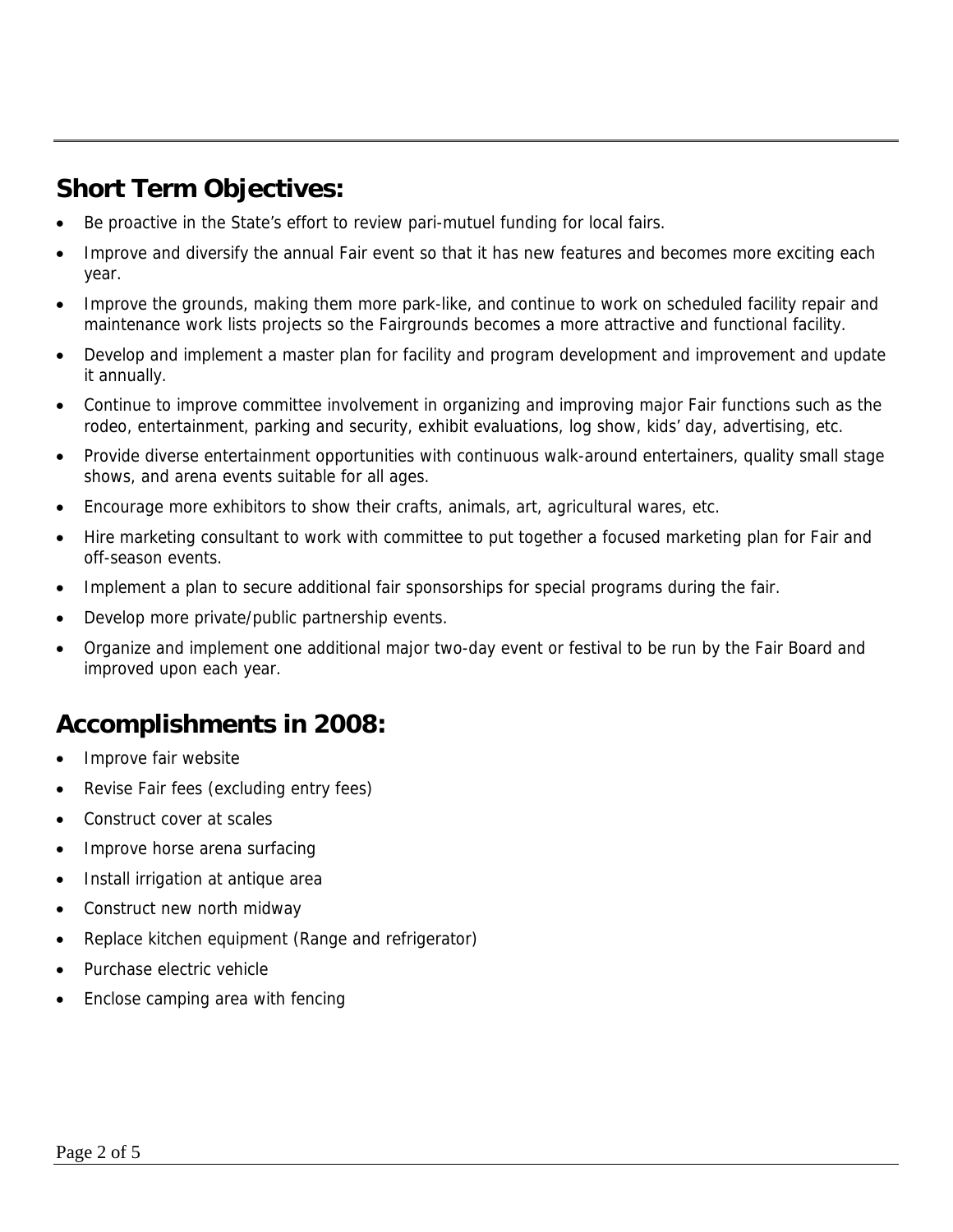### **Short Term Objectives:**

- Be proactive in the State's effort to review pari-mutuel funding for local fairs.
- Improve and diversify the annual Fair event so that it has new features and becomes more exciting each year.
- Improve the grounds, making them more park-like, and continue to work on scheduled facility repair and maintenance work lists projects so the Fairgrounds becomes a more attractive and functional facility.
- Develop and implement a master plan for facility and program development and improvement and update it annually.
- Continue to improve committee involvement in organizing and improving major Fair functions such as the rodeo, entertainment, parking and security, exhibit evaluations, log show, kids' day, advertising, etc.
- Provide diverse entertainment opportunities with continuous walk-around entertainers, quality small stage shows, and arena events suitable for all ages.
- Encourage more exhibitors to show their crafts, animals, art, agricultural wares, etc.
- Hire marketing consultant to work with committee to put together a focused marketing plan for Fair and off-season events.
- Implement a plan to secure additional fair sponsorships for special programs during the fair.
- Develop more private/public partnership events.
- Organize and implement one additional major two-day event or festival to be run by the Fair Board and improved upon each year.

### **Accomplishments in 2008:**

- Improve fair website
- Revise Fair fees (excluding entry fees)
- Construct cover at scales
- Improve horse arena surfacing
- Install irrigation at antique area
- Construct new north midway
- Replace kitchen equipment (Range and refrigerator)
- Purchase electric vehicle
- Enclose camping area with fencing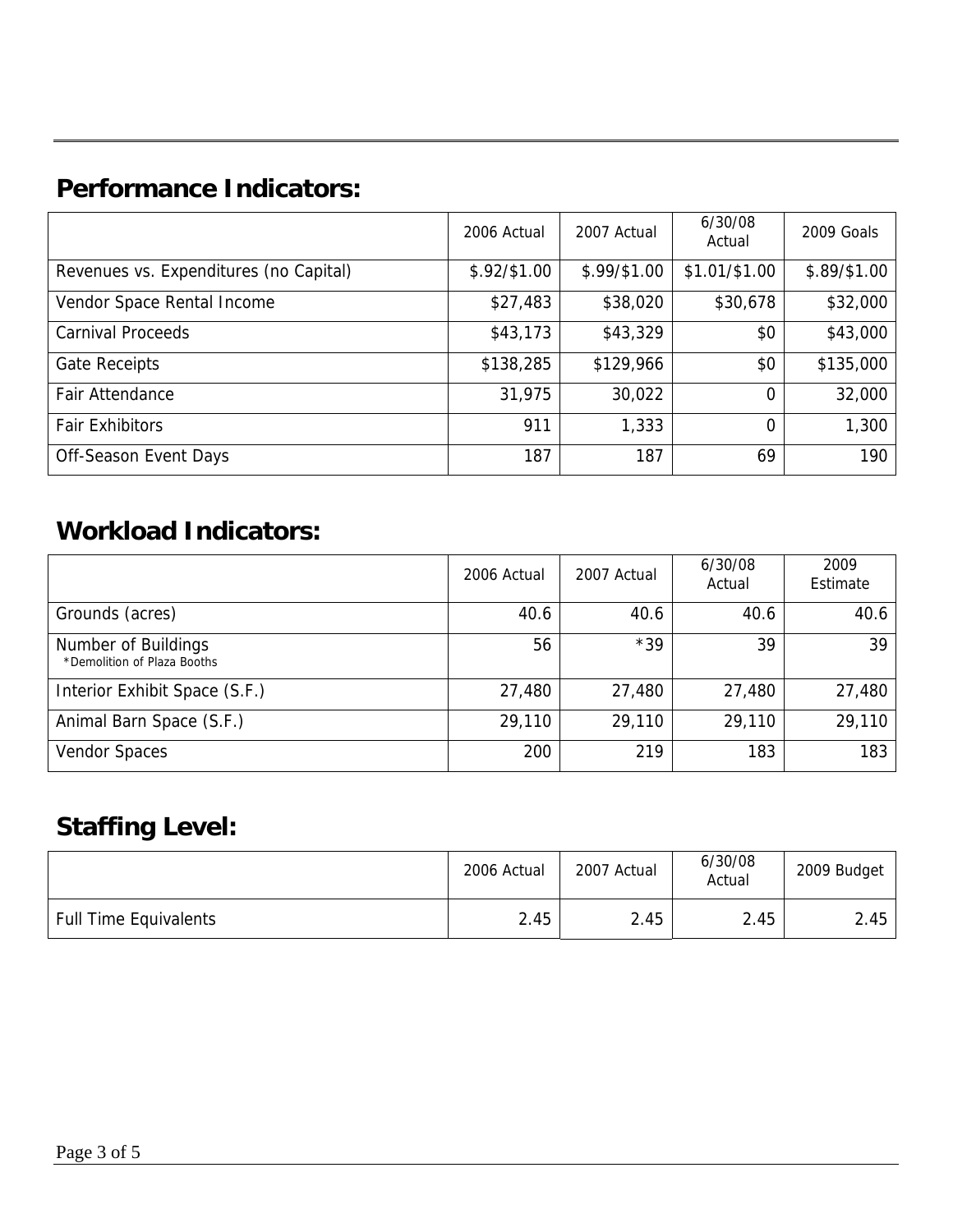### **Performance Indicators:**

|                                        | 2006 Actual   | 2007 Actual  | 6/30/08<br>Actual | 2009 Goals   |
|----------------------------------------|---------------|--------------|-------------------|--------------|
| Revenues vs. Expenditures (no Capital) | $$.92/\$1.00$ | \$.99/\$1.00 | \$1.01/\$1.00     | \$.89/\$1.00 |
| Vendor Space Rental Income             | \$27,483      | \$38,020     | \$30,678          | \$32,000     |
| <b>Carnival Proceeds</b>               | \$43,173      | \$43,329     | \$0               | \$43,000     |
| <b>Gate Receipts</b>                   | \$138,285     | \$129,966    | \$0               | \$135,000    |
| Fair Attendance                        | 31,975        | 30,022       | 0                 | 32,000       |
| <b>Fair Exhibitors</b>                 | 911           | 1,333        | 0                 | 1,300        |
| Off-Season Event Days                  | 187           | 187          | 69                | 190          |

### **Workload Indicators:**

|                                                    | 2006 Actual | 2007 Actual | 6/30/08<br>Actual | 2009<br>Estimate |
|----------------------------------------------------|-------------|-------------|-------------------|------------------|
| Grounds (acres)                                    | 40.6        | 40.6        | 40.6              | 40.6             |
| Number of Buildings<br>*Demolition of Plaza Booths | 56          | $*39$       | 39                | 39               |
| Interior Exhibit Space (S.F.)                      | 27,480      | 27,480      | 27,480            | 27,480           |
| Animal Barn Space (S.F.)                           | 29,110      | 29,110      | 29,110            | 29,110           |
| <b>Vendor Spaces</b>                               | 200         | 219         | 183               | 183              |

### **Staffing Level:**

|                              | 2006 Actual | 2007 Actual | 6/30/08<br>Actual | 2009 Budget |
|------------------------------|-------------|-------------|-------------------|-------------|
| <b>Full Time Equivalents</b> | 2.45        | 2.45        | 2.45              | 2.45        |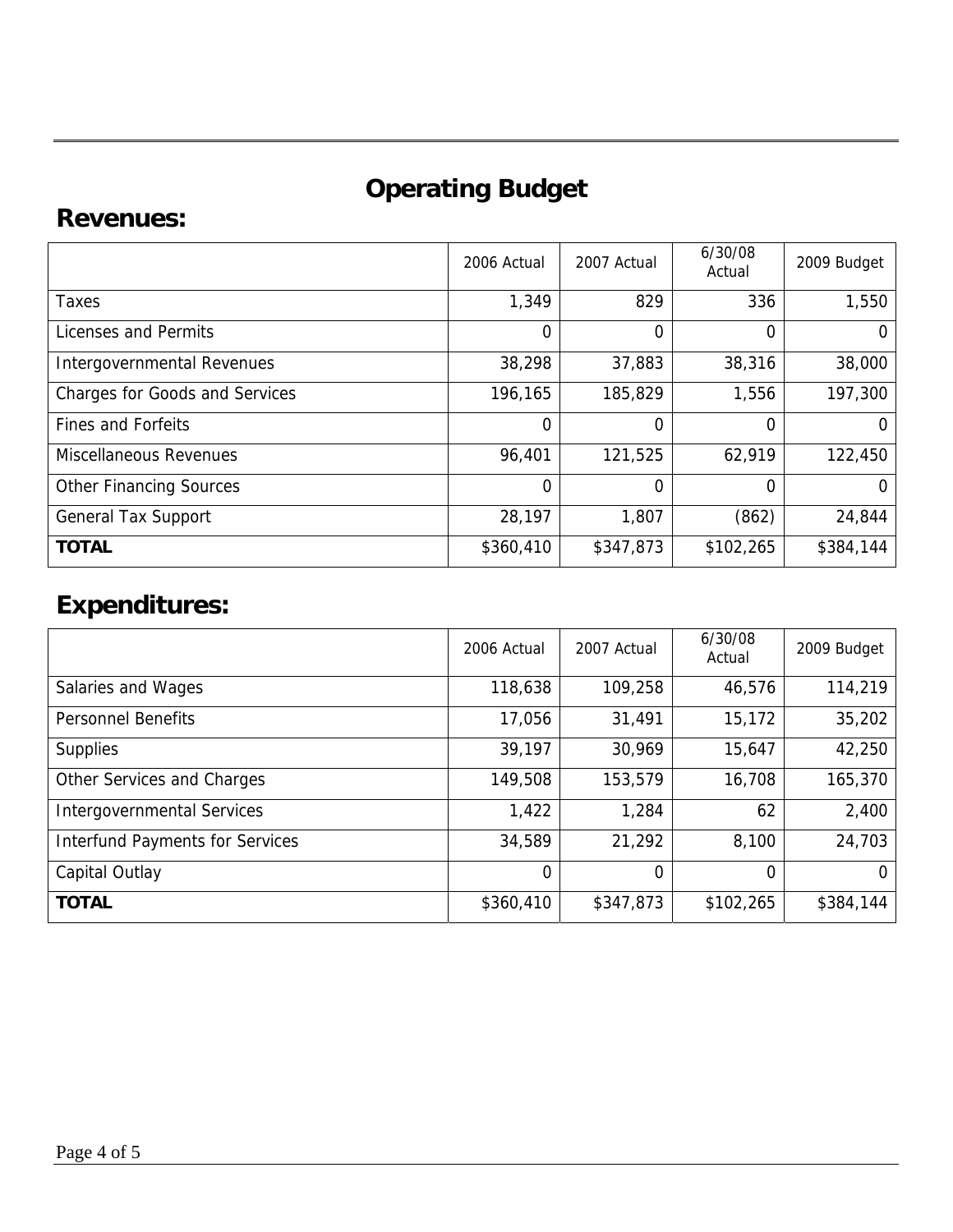# **Operating Budget**

### **Revenues:**

|                                       | 2006 Actual | 2007 Actual | 6/30/08<br>Actual | 2009 Budget |
|---------------------------------------|-------------|-------------|-------------------|-------------|
| Taxes                                 | 1,349       | 829         | 336               | 1,550       |
| Licenses and Permits                  | $\mathbf 0$ | 0           | 0                 |             |
| <b>Intergovernmental Revenues</b>     | 38,298      | 37,883      | 38,316            | 38,000      |
| <b>Charges for Goods and Services</b> | 196,165     | 185,829     | 1,556             | 197,300     |
| <b>Fines and Forfeits</b>             | $\Omega$    | 0           | 0                 |             |
| <b>Miscellaneous Revenues</b>         | 96,401      | 121,525     | 62,919            | 122,450     |
| <b>Other Financing Sources</b>        | $\Omega$    | 0           | 0                 |             |
| <b>General Tax Support</b>            | 28,197      | 1,807       | (862)             | 24,844      |
| <b>TOTAL</b>                          | \$360,410   | \$347,873   | \$102,265         | \$384,144   |

## **Expenditures:**

|                                        | 2006 Actual | 2007 Actual | 6/30/08<br>Actual | 2009 Budget |
|----------------------------------------|-------------|-------------|-------------------|-------------|
| Salaries and Wages                     | 118,638     | 109,258     | 46,576            | 114,219     |
| <b>Personnel Benefits</b>              | 17,056      | 31,491      | 15,172            | 35,202      |
| <b>Supplies</b>                        | 39,197      | 30,969      | 15,647            | 42,250      |
| Other Services and Charges             | 149,508     | 153,579     | 16,708            | 165,370     |
| <b>Intergovernmental Services</b>      | 1,422       | 1,284       | 62                | 2,400       |
| <b>Interfund Payments for Services</b> | 34,589      | 21,292      | 8,100             | 24,703      |
| Capital Outlay                         | $\Omega$    | $\Omega$    | 0                 |             |
| <b>TOTAL</b>                           | \$360,410   | \$347,873   | \$102,265         | \$384,144   |